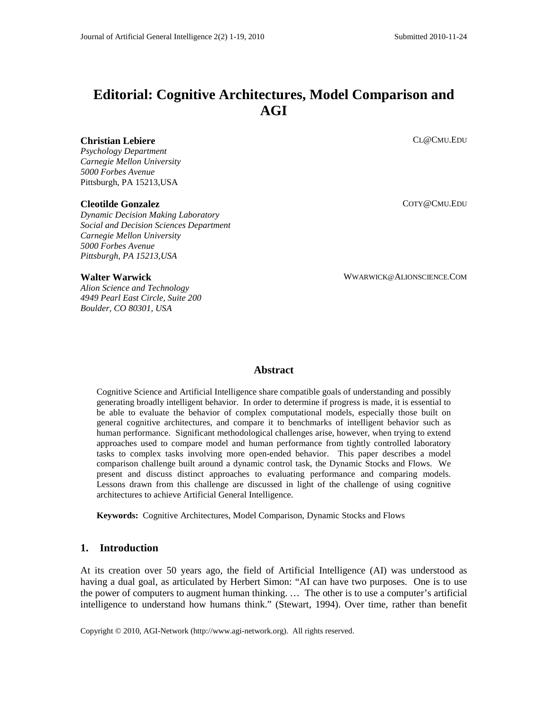# **Editorial: Cognitive Architectures, Model Comparison and AGI**

## **Christian Lebiere**

*Psychology Department Carnegie Mellon University 5000 Forbes Avenue* Pittsburgh, PA 15213,USA

#### **Cleotilde Gonzalez**

*Dynamic Decision Making Laboratory Social and Decision Sciences Department Carnegie Mellon University 5000 Forbes Avenue Pittsburgh, PA 15213,USA*

**Walter Warwick**

*Alion Science and Technology 4949 Pearl East Circle, Suite 200 Boulder, CO 80301, USA*

CL@CMU.EDU

COTY@CMU.EDU

WWARWICK@ALIONSCIENCE.COM

## **Abstract**

Cognitive Science and Artificial Intelligence share compatible goals of understanding and possibly generating broadly intelligent behavior. In order to determine if progress is made, it is essential to be able to evaluate the behavior of complex computational models, especially those built on general cognitive architectures, and compare it to benchmarks of intelligent behavior such as human performance. Significant methodological challenges arise, however, when trying to extend approaches used to compare model and human performance from tightly controlled laboratory tasks to complex tasks involving more open-ended behavior. This paper describes a model comparison challenge built around a dynamic control task, the Dynamic Stocks and Flows. We present and discuss distinct approaches to evaluating performance and comparing models. Lessons drawn from this challenge are discussed in light of the challenge of using cognitive architectures to achieve Artificial General Intelligence.

**Keywords:** Cognitive Architectures, Model Comparison, Dynamic Stocks and Flows

# **1. Introduction**

At its creation over 50 years ago, the field of Artificial Intelligence (AI) was understood as having a dual goal, as articulated by Herbert Simon: "AI can have two purposes. One is to use the power of computers to augment human thinking. … The other is to use a computer's artificial intelligence to understand how humans think." (Stewart, 1994). Over time, rather than benefit

Copyright © 2010, AGI-Network [\(http://www.agi-network.org\)](http://www.agi-network.org/). All rights reserved.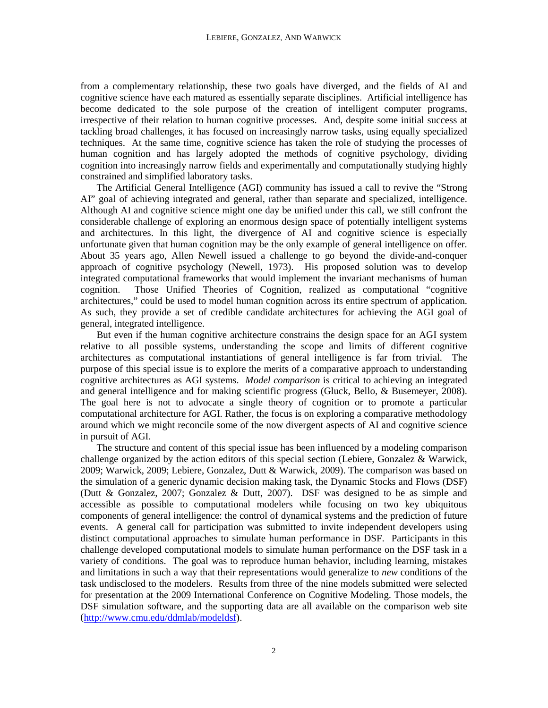from a complementary relationship, these two goals have diverged, and the fields of AI and cognitive science have each matured as essentially separate disciplines. Artificial intelligence has become dedicated to the sole purpose of the creation of intelligent computer programs, irrespective of their relation to human cognitive processes. And, despite some initial success at tackling broad challenges, it has focused on increasingly narrow tasks, using equally specialized techniques. At the same time, cognitive science has taken the role of studying the processes of human cognition and has largely adopted the methods of cognitive psychology, dividing cognition into increasingly narrow fields and experimentally and computationally studying highly constrained and simplified laboratory tasks.

The Artificial General Intelligence (AGI) community has issued a call to revive the "Strong AI" goal of achieving integrated and general, rather than separate and specialized, intelligence. Although AI and cognitive science might one day be unified under this call, we still confront the considerable challenge of exploring an enormous design space of potentially intelligent systems and architectures. In this light, the divergence of AI and cognitive science is especially unfortunate given that human cognition may be the only example of general intelligence on offer. About 35 years ago, Allen Newell issued a challenge to go beyond the divide-and-conquer approach of cognitive psychology (Newell, 1973). His proposed solution was to develop integrated computational frameworks that would implement the invariant mechanisms of human cognition. Those Unified Theories of Cognition, realized as computational "cognitive architectures," could be used to model human cognition across its entire spectrum of application. As such, they provide a set of credible candidate architectures for achieving the AGI goal of general, integrated intelligence.

But even if the human cognitive architecture constrains the design space for an AGI system relative to all possible systems, understanding the scope and limits of different cognitive architectures as computational instantiations of general intelligence is far from trivial. The purpose of this special issue is to explore the merits of a comparative approach to understanding cognitive architectures as AGI systems. *Model comparison* is critical to achieving an integrated and general intelligence and for making scientific progress (Gluck, Bello, & Busemeyer, 2008). The goal here is not to advocate a single theory of cognition or to promote a particular computational architecture for AGI. Rather, the focus is on exploring a comparative methodology around which we might reconcile some of the now divergent aspects of AI and cognitive science in pursuit of AGI.

The structure and content of this special issue has been influenced by a modeling comparison challenge organized by the action editors of this special section (Lebiere, Gonzalez & Warwick, 2009; Warwick, 2009; Lebiere, Gonzalez, Dutt & Warwick, 2009). The comparison was based on the simulation of a generic dynamic decision making task, the Dynamic Stocks and Flows (DSF) (Dutt & Gonzalez, 2007; Gonzalez & Dutt, 2007). DSF was designed to be as simple and accessible as possible to computational modelers while focusing on two key ubiquitous components of general intelligence: the control of dynamical systems and the prediction of future events. A general call for participation was submitted to invite independent developers using distinct computational approaches to simulate human performance in DSF. Participants in this challenge developed computational models to simulate human performance on the DSF task in a variety of conditions. The goal was to reproduce human behavior, including learning, mistakes and limitations in such a way that their representations would generalize to *new* conditions of the task undisclosed to the modelers. Results from three of the nine models submitted were selected for presentation at the 2009 International Conference on Cognitive Modeling. Those models, the DSF simulation software, and the supporting data are all available on the comparison web site [\(http://www.cmu.edu/ddmlab/modeldsf\)](http://www.cmu.edu/ddmlab/modeldsf).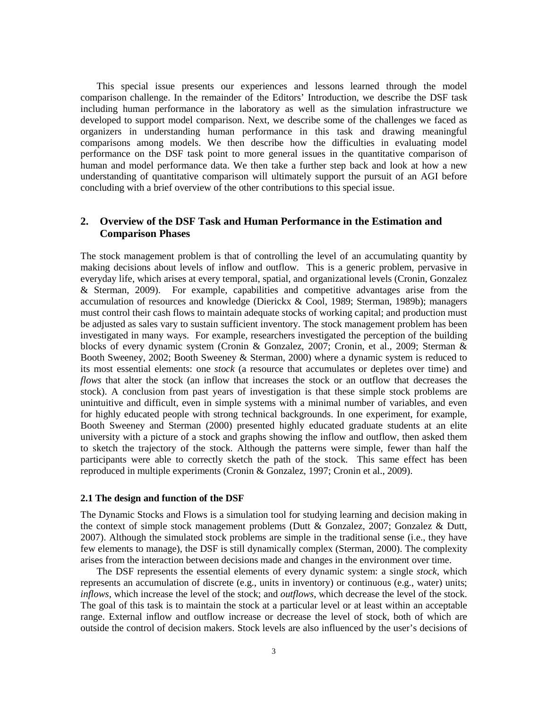This special issue presents our experiences and lessons learned through the model comparison challenge. In the remainder of the Editors' Introduction, we describe the DSF task including human performance in the laboratory as well as the simulation infrastructure we developed to support model comparison. Next, we describe some of the challenges we faced as organizers in understanding human performance in this task and drawing meaningful comparisons among models. We then describe how the difficulties in evaluating model performance on the DSF task point to more general issues in the quantitative comparison of human and model performance data. We then take a further step back and look at how a new understanding of quantitative comparison will ultimately support the pursuit of an AGI before concluding with a brief overview of the other contributions to this special issue.

# **2. Overview of the DSF Task and Human Performance in the Estimation and Comparison Phases**

The stock management problem is that of controlling the level of an accumulating quantity by making decisions about levels of inflow and outflow. This is a generic problem, pervasive in everyday life, which arises at every temporal, spatial, and organizational levels (Cronin, Gonzalez & Sterman, 2009). For example, capabilities and competitive advantages arise from the accumulation of resources and knowledge (Dierickx & Cool, 1989; Sterman, 1989b); managers must control their cash flows to maintain adequate stocks of working capital; and production must be adjusted as sales vary to sustain sufficient inventory. The stock management problem has been investigated in many ways. For example, researchers investigated the perception of the building blocks of every dynamic system (Cronin & Gonzalez, 2007; Cronin, et al., 2009; Sterman & Booth Sweeney, 2002; Booth Sweeney & Sterman, 2000) where a dynamic system is reduced to its most essential elements: one *stock* (a resource that accumulates or depletes over time) and *flows* that alter the stock (an inflow that increases the stock or an outflow that decreases the stock). A conclusion from past years of investigation is that these simple stock problems are unintuitive and difficult, even in simple systems with a minimal number of variables, and even for highly educated people with strong technical backgrounds. In one experiment, for example, Booth Sweeney and Sterman (2000) presented highly educated graduate students at an elite university with a picture of a stock and graphs showing the inflow and outflow, then asked them to sketch the trajectory of the stock. Although the patterns were simple, fewer than half the participants were able to correctly sketch the path of the stock. This same effect has been reproduced in multiple experiments (Cronin & Gonzalez, 1997; Cronin et al., 2009).

#### **2.1 The design and function of the DSF**

The Dynamic Stocks and Flows is a simulation tool for studying learning and decision making in the context of simple stock management problems (Dutt & Gonzalez, 2007; Gonzalez & Dutt, 2007). Although the simulated stock problems are simple in the traditional sense (i.e., they have few elements to manage), the DSF is still dynamically complex (Sterman, 2000). The complexity arises from the interaction between decisions made and changes in the environment over time.

The DSF represents the essential elements of every dynamic system: a single *stock*, which represents an accumulation of discrete (e.g., units in inventory) or continuous (e.g., water) units; *inflows*, which increase the level of the stock; and *outflows*, which decrease the level of the stock. The goal of this task is to maintain the stock at a particular level or at least within an acceptable range. External inflow and outflow increase or decrease the level of stock, both of which are outside the control of decision makers. Stock levels are also influenced by the user's decisions of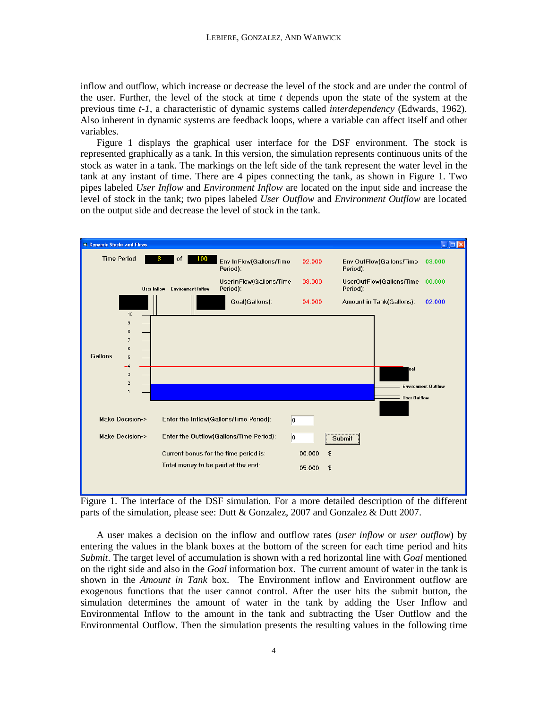inflow and outflow, which increase or decrease the level of the stock and are under the control of the user. Further, the level of the stock at time *t* depends upon the state of the system at the previous time *t-1*, a characteristic of dynamic systems called *interdependency* (Edwards, 1962). Also inherent in dynamic systems are feedback loops, where a variable can affect itself and other variables.

Figure 1 displays the graphical user interface for the DSF environment. The stock is represented graphically as a tank. In this version, the simulation represents continuous units of the stock as water in a tank. The markings on the left side of the tank represent the water level in the tank at any instant of time. There are 4 pipes connecting the tank, as shown in Figure 1. Two pipes labeled *User Inflow* and *Environment Inflow* are located on the input side and increase the level of stock in the tank; two pipes labeled *User Outflow* and *Environment Outflow* are located on the output side and decrease the level of stock in the tank.



Figure 1. The interface of the DSF simulation. For a more detailed description of the different parts of the simulation, please see: Dutt & Gonzalez, 2007 and Gonzalez & Dutt 2007.

A user makes a decision on the inflow and outflow rates (*user inflow* or *user outflow*) by entering the values in the blank boxes at the bottom of the screen for each time period and hits *Submit*. The target level of accumulation is shown with a red horizontal line with *Goal* mentioned on the right side and also in the *Goal* information box. The current amount of water in the tank is shown in the *Amount in Tank* box. The Environment inflow and Environment outflow are exogenous functions that the user cannot control. After the user hits the submit button, the simulation determines the amount of water in the tank by adding the User Inflow and Environmental Inflow to the amount in the tank and subtracting the User Outflow and the Environmental Outflow. Then the simulation presents the resulting values in the following time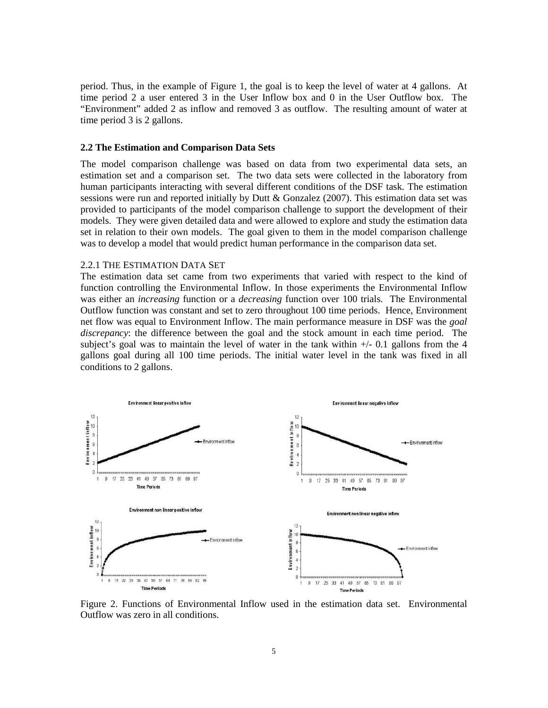period. Thus, in the example of Figure 1, the goal is to keep the level of water at 4 gallons. At time period 2 a user entered 3 in the User Inflow box and 0 in the User Outflow box. The "Environment" added 2 as inflow and removed 3 as outflow. The resulting amount of water at time period 3 is 2 gallons.

# **2.2 The Estimation and Comparison Data Sets**

The model comparison challenge was based on data from two experimental data sets, an estimation set and a comparison set. The two data sets were collected in the laboratory from human participants interacting with several different conditions of the DSF task. The estimation sessions were run and reported initially by Dutt & Gonzalez (2007). This estimation data set was provided to participants of the model comparison challenge to support the development of their models. They were given detailed data and were allowed to explore and study the estimation data set in relation to their own models. The goal given to them in the model comparison challenge was to develop a model that would predict human performance in the comparison data set.

# 2.2.1 THE ESTIMATION DATA SET

The estimation data set came from two experiments that varied with respect to the kind of function controlling the Environmental Inflow. In those experiments the Environmental Inflow was either an *increasing* function or a *decreasing* function over 100 trials. The Environmental Outflow function was constant and set to zero throughout 100 time periods. Hence, Environment net flow was equal to Environment Inflow. The main performance measure in DSF was the *goal discrepancy*: the difference between the goal and the stock amount in each time period. The subject's goal was to maintain the level of water in the tank within  $+/- 0.1$  gallons from the 4 gallons goal during all 100 time periods. The initial water level in the tank was fixed in all conditions to 2 gallons.



Figure 2. Functions of Environmental Inflow used in the estimation data set. Environmental Outflow was zero in all conditions.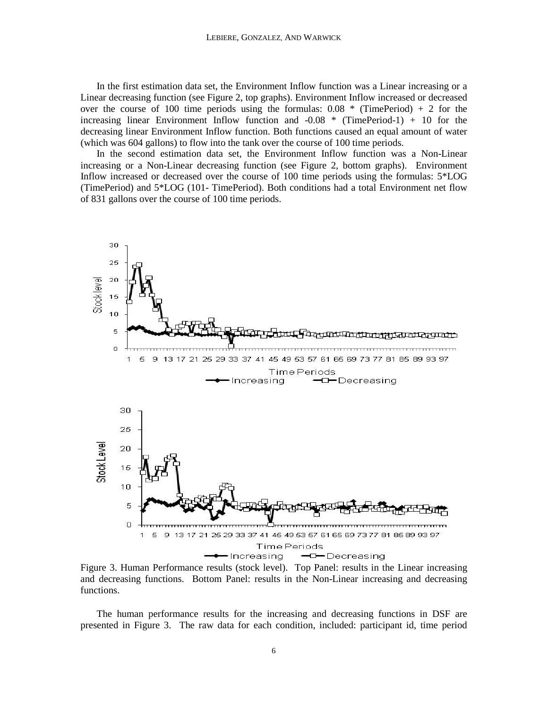In the first estimation data set, the Environment Inflow function was a Linear increasing or a Linear decreasing function (see Figure 2, top graphs). Environment Inflow increased or decreased over the course of 100 time periods using the formulas:  $0.08 *$  (TimePeriod) + 2 for the increasing linear Environment Inflow function and  $-0.08 *$  (TimePeriod-1) + 10 for the decreasing linear Environment Inflow function. Both functions caused an equal amount of water (which was 604 gallons) to flow into the tank over the course of 100 time periods.

In the second estimation data set, the Environment Inflow function was a Non-Linear increasing or a Non-Linear decreasing function (see Figure 2, bottom graphs). Environment Inflow increased or decreased over the course of 100 time periods using the formulas: 5\*LOG (TimePeriod) and 5\*LOG (101- TimePeriod). Both conditions had a total Environment net flow of 831 gallons over the course of 100 time periods.



Figure 3. Human Performance results (stock level). Top Panel: results in the Linear increasing and decreasing functions. Bottom Panel: results in the Non-Linear increasing and decreasing functions.

The human performance results for the increasing and decreasing functions in DSF are presented in Figure 3. The raw data for each condition, included: participant id, time period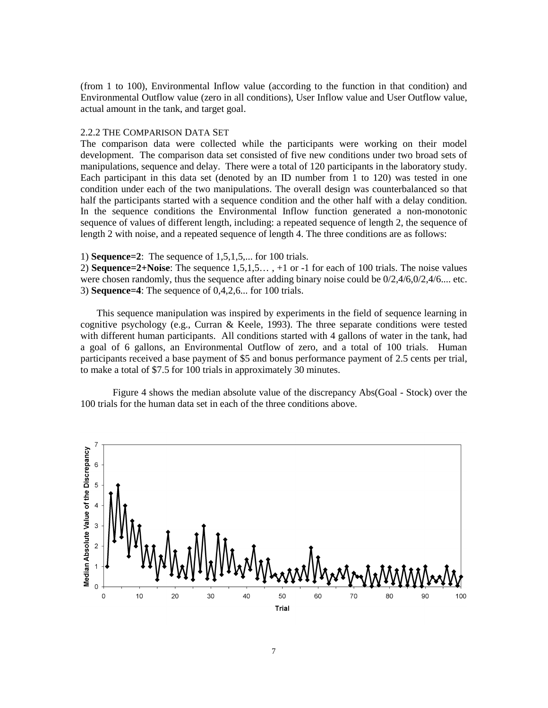(from 1 to 100), Environmental Inflow value (according to the function in that condition) and Environmental Outflow value (zero in all conditions), User Inflow value and User Outflow value, actual amount in the tank, and target goal.

## 2.2.2 THE COMPARISON DATA SET

The comparison data were collected while the participants were working on their model development. The comparison data set consisted of five new conditions under two broad sets of manipulations, sequence and delay. There were a total of 120 participants in the laboratory study. Each participant in this data set (denoted by an ID number from 1 to 120) was tested in one condition under each of the two manipulations. The overall design was counterbalanced so that half the participants started with a sequence condition and the other half with a delay condition. In the sequence conditions the Environmental Inflow function generated a non-monotonic sequence of values of different length, including: a repeated sequence of length 2, the sequence of length 2 with noise, and a repeated sequence of length 4. The three conditions are as follows:

1) **Sequence=2**: The sequence of 1,5,1,5,... for 100 trials.

2) **Sequence=2+Noise**: The sequence 1,5,1,5… , +1 or -1 for each of 100 trials. The noise values were chosen randomly, thus the sequence after adding binary noise could be  $0/2,4/6,0/2,4/6,...$  etc. 3) **Sequence=4**: The sequence of 0,4,2,6... for 100 trials.

This sequence manipulation was inspired by experiments in the field of sequence learning in cognitive psychology (e.g., Curran & Keele, 1993). The three separate conditions were tested with different human participants. All conditions started with 4 gallons of water in the tank, had a goal of 6 gallons, an Environmental Outflow of zero, and a total of 100 trials. Human participants received a base payment of \$5 and bonus performance payment of 2.5 cents per trial, to make a total of \$7.5 for 100 trials in approximately 30 minutes.

Figure 4 shows the median absolute value of the discrepancy Abs(Goal - Stock) over the 100 trials for the human data set in each of the three conditions above.

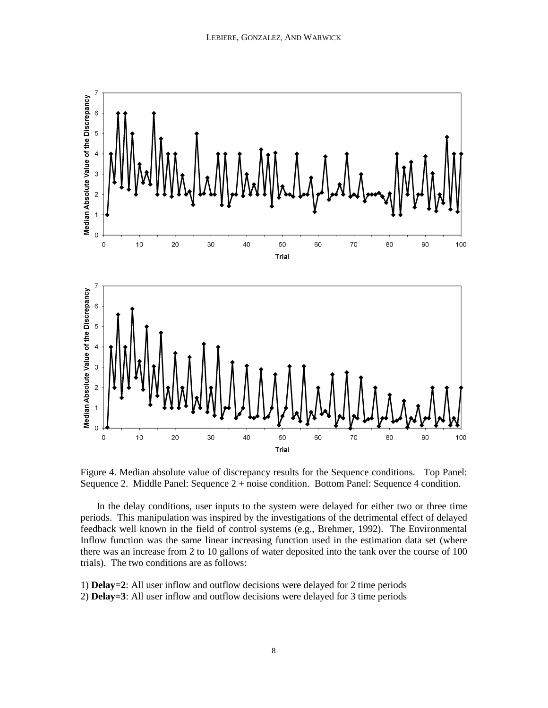

Figure 4. Median absolute value of discrepancy results for the Sequence conditions. Top Panel: Sequence 2. Middle Panel: Sequence 2 + noise condition. Bottom Panel: Sequence 4 condition.

In the delay conditions, user inputs to the system were delayed for either two or three time periods. This manipulation was inspired by the investigations of the detrimental effect of delayed feedback well known in the field of control systems (e.g., Brehmer, 1992). The Environmental Inflow function was the same linear increasing function used in the estimation data set (where there was an increase from 2 to 10 gallons of water deposited into the tank over the course of 100 trials). The two conditions are as follows:

1) **Delay=2**: All user inflow and outflow decisions were delayed for 2 time periods 2) **Delay=3**: All user inflow and outflow decisions were delayed for 3 time periods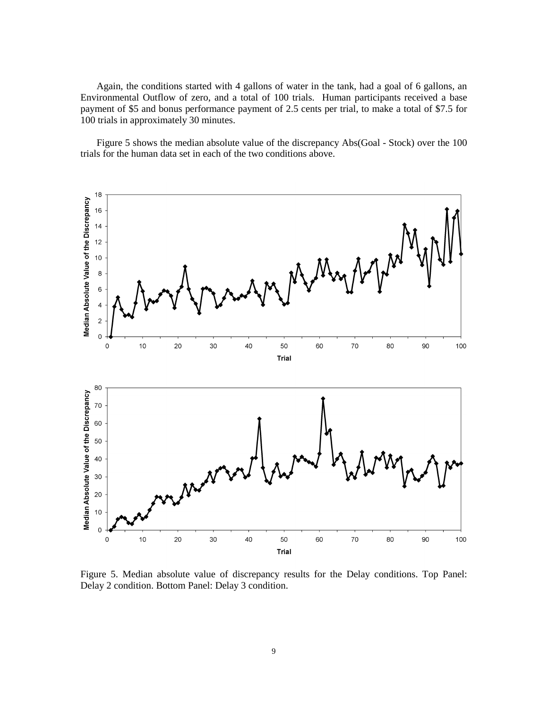Again, the conditions started with 4 gallons of water in the tank, had a goal of 6 gallons, an Environmental Outflow of zero, and a total of 100 trials. Human participants received a base payment of \$5 and bonus performance payment of 2.5 cents per trial, to make a total of \$7.5 for 100 trials in approximately 30 minutes.

Figure 5 shows the median absolute value of the discrepancy Abs(Goal - Stock) over the 100 trials for the human data set in each of the two conditions above.



Figure 5. Median absolute value of discrepancy results for the Delay conditions. Top Panel: Delay 2 condition. Bottom Panel: Delay 3 condition.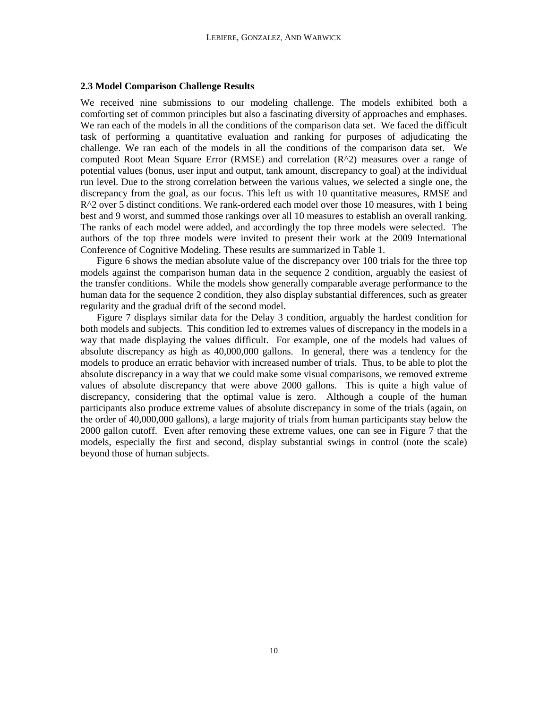## **2.3 Model Comparison Challenge Results**

We received nine submissions to our modeling challenge. The models exhibited both a comforting set of common principles but also a fascinating diversity of approaches and emphases. We ran each of the models in all the conditions of the comparison data set. We faced the difficult task of performing a quantitative evaluation and ranking for purposes of adjudicating the challenge. We ran each of the models in all the conditions of the comparison data set. We computed Root Mean Square Error (RMSE) and correlation (R^2) measures over a range of potential values (bonus, user input and output, tank amount, discrepancy to goal) at the individual run level. Due to the strong correlation between the various values, we selected a single one, the discrepancy from the goal, as our focus. This left us with 10 quantitative measures, RMSE and  $R^2$  over 5 distinct conditions. We rank-ordered each model over those 10 measures, with 1 being best and 9 worst, and summed those rankings over all 10 measures to establish an overall ranking. The ranks of each model were added, and accordingly the top three models were selected. The authors of the top three models were invited to present their work at the 2009 International Conference of Cognitive Modeling. These results are summarized in Table 1.

Figure 6 shows the median absolute value of the discrepancy over 100 trials for the three top models against the comparison human data in the sequence 2 condition, arguably the easiest of the transfer conditions. While the models show generally comparable average performance to the human data for the sequence 2 condition, they also display substantial differences, such as greater regularity and the gradual drift of the second model.

Figure 7 displays similar data for the Delay 3 condition, arguably the hardest condition for both models and subjects. This condition led to extremes values of discrepancy in the models in a way that made displaying the values difficult. For example, one of the models had values of absolute discrepancy as high as 40,000,000 gallons. In general, there was a tendency for the models to produce an erratic behavior with increased number of trials. Thus, to be able to plot the absolute discrepancy in a way that we could make some visual comparisons, we removed extreme values of absolute discrepancy that were above 2000 gallons. This is quite a high value of discrepancy, considering that the optimal value is zero. Although a couple of the human participants also produce extreme values of absolute discrepancy in some of the trials (again, on the order of 40,000,000 gallons), a large majority of trials from human participants stay below the 2000 gallon cutoff. Even after removing these extreme values, one can see in Figure 7 that the models, especially the first and second, display substantial swings in control (note the scale) beyond those of human subjects.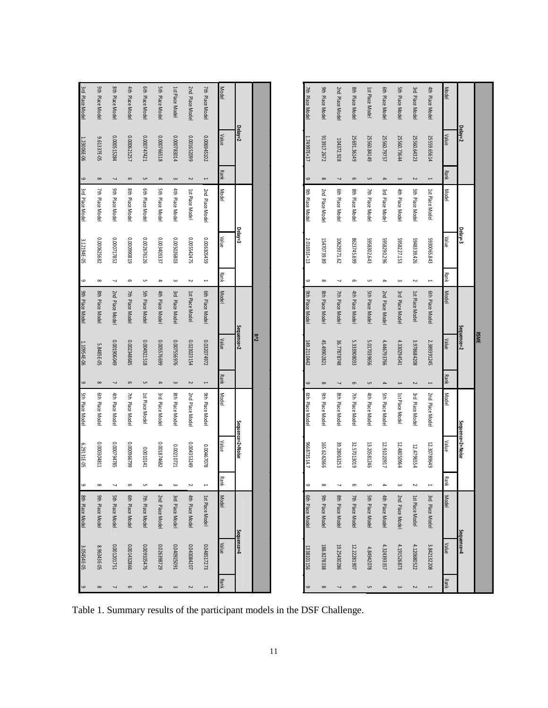| 6                        | 3.05454E-05 | 8th Place Model | $\circ$                  | 6.29131E-05      | 5th Place Model | $\circ$                  | 1.10954E-06 | 9th Place Model | $\bullet$                | 3.12194E-05  | 3rd Place Model | $\mathbf \omega$         | 1.23006E-06 | 3rd Place Model |
|--------------------------|-------------|-----------------|--------------------------|------------------|-----------------|--------------------------|-------------|-----------------|--------------------------|--------------|-----------------|--------------------------|-------------|-----------------|
| $\infty$                 | 8.96343E-05 | 9th Place Model | $\infty$                 | 0.000304811      | 6th Place Model | $\infty$                 | 5.8485E-05  | 8th Place Model | $\infty$                 | 0.000625682  | 7th Place Model | $\infty$                 | 9.61337E-05 | 9th Place Model |
| 7                        | 0.001201751 | 5th Place Model | J                        | 0.000794785      | 4th Place Model | $\overline{\phantom{a}}$ | 61090610010 | 2nd Place Model | ┙                        | 0.000717852  | 9th Place Model | $\overline{\phantom{a}}$ | 0.000515284 | 8th Place Model |
| $\mathbf 0$              | 0.001432866 | 6th Place Model | G                        | 66299600010      | 7th Place Model | $\mathbf 0$              | 0.002348685 | 7th Place Model | $\mathbf 0$              | 618066000'0  | 8th Place Model | $\circ$                  | 0.000621257 | 4th Place Model |
| C                        | 0.009105476 | 7th Place Model | C                        | 100000141        | 1st Place Model | C                        | 0.004921518 | 5th Place Model | c                        | 0.002676126  | 6th Place Model | UП                       | 0.000747421 | 6th Place Model |
| $\blacktriangle$         | 0.026398729 | 2nd Place Model | $\overline{\phantom{a}}$ | 0.001874682      | 3rd Place Model | $\blacktriangle$         | 66992520010 | 4th Place Model | $\blacktriangle$         | 0.003403337  | 5th Place Model | $\blacktriangle$         | 0.000766518 | 5th Place Model |
| $\, \omega$              | I60SZ60b0'0 | 3rd Place Model | $\omega$                 | 0.00210721       | 8th Place Model | $\,$                     | 0.007556976 | 3rd Place Model | $\overline{\mathbf{c}}$  | 0.005026803  | 4th Place Model | $\,\,\omega$             | 0.000783014 | 1st Place Model |
| $\sim$                   | 0.043084207 | 4th Place Model | N                        | 0.004353249      | 2nd Place Model | $\sim$                   | 0.023023154 | 1st Place Model | $\tilde{}$               | 0.005542475  | 1st Place Model | $\sim$                   | 0.001652099 | 2nd Place Model |
| $\overline{\phantom{a}}$ | 0.048517273 | 1st Place Model | $\overline{\phantom{0}}$ | 0.00467078       | 9th Place Model | $\overline{\phantom{a}}$ | 0.032074972 | 6th Place Model | $\overline{\phantom{a}}$ | 651590202459 | 2nd Place Model | $\overline{\phantom{a}}$ | 0.006945102 | 7th Place Model |
| <b>Rank</b>              | Value       | Model           | Rank                     | Value            | Model           | <b>Rank</b>              | Value       | <b>Model</b>    | Rank                     | Value        | Model           | <b>Rank</b>              | Value       | Model           |
|                          | sequence=4  |                 |                          | Sequence=2+Noise |                 |                          | Sequence=2  |                 |                          | Delay=3      |                 |                          | Delay=2     |                 |
|                          |             |                 |                          |                  |                 |                          | $R^{22}$    |                 |                          |              |                 |                          |             |                 |
|                          |             |                 |                          |                  |                 |                          |             |                 |                          |              |                 |                          |             |                 |
| 6                        | 1338101156  | 6th Place Model | ص                        | 966873514.7      | 6th Place Model | 6                        | 149.2110442 | 9th Place Model | 6                        | 2.01691E+13  | 9th Place Model | 6                        | 1.74997E+37 | 7th Place Model |
| $\infty$                 | 188.8278338 | 9th Place Model | $\infty$                 | 165.6242666      | 9th Place Model | $\infty$                 | 45.49902821 | 8th Place Model | $\infty$                 | 15470739.89  | 2nd Place Model | $\infty$                 | 913917.2672 | 9th Place Model |
| J                        | 19.25430286 | 8th Place Model | $\overline{\phantom{0}}$ | 39.28063253      | 8th Place Model | $\overline{\phantom{0}}$ | 36.77878748 | 7th Place Model | J                        | 10629371.62  | 6th Place Model | $\overline{\phantom{a}}$ | 104372.928  | 2nd Place Model |
| $\circ$                  | 12.22281907 | 7th Place Model | Ō                        | 32.57013019      | 7th Place Model | $\circ$                  | 5.333908033 | 4th Place Model | G                        | 8623745.699  | 8th Place Model | $\circ$                  | 25691.36149 | 8th Place Model |
| C                        | 4.84942078  | 5th Place Model | G                        | 13.20581246      | 4th Place Model | C                        | 5.017039656 | 5th Place Model | c                        | 5958302.643  | 7th Place Model | UП                       | 25560.84149 | 1st Place Model |
| $\blacktriangle$         | 4.324393357 | 4th Place Model | $\overline{\phantom{a}}$ | 12.91020917      | 5th Place Model | $\blacktriangle$         | 4.446793766 | 2nd Place Model | $\blacktriangle$         | 962'0628565  | 3rd Place Model | $\blacktriangle$         | 25560.79757 | 6th Place Model |
| $\omega$                 | 4.191526873 | 2nd Place Model | $\overline{\phantom{a}}$ | 12.48050964      | 1st Place Model | $\, \omega$              | 4.330294541 | 3rd Place Model | $\bf\omega$              | 5958227.153  | 4th Place Model | $\, \omega$              | 25560.73644 | 5th Place Model |
| $\sim$                   | 4.120680522 | 1st Place Model | N                        | 12.4796554       | 3rd Place Model | $\sim$                   | 3.978684208 | 1st Place Model | $\tilde{\phantom{a}}$    | 5948339.426  | 5th Place Model | $\sim$                   | 25560.64323 | 3rd Place Model |
| $\overline{\phantom{0}}$ | 3.842132208 | 3rd Place Model | $\overline{\phantom{0}}$ | 12.30789649      | 2nd Place Model | $\overline{\phantom{a}}$ | 2.389391245 | 6th Place Model | $\overline{\phantom{0}}$ | 5930065.843  | 1st Place Model | $\overline{\phantom{0}}$ | 25559.65614 | 4th Place Model |
| <b>Rank</b>              | Value       | Model           | Rank                     | Value            | <b>Model</b>    | <b>Rank</b>              | Value       | Model           | Rank                     | Value        | <b>Model</b>    | <b>Rank</b>              | Value       | Model           |
|                          | Sequence=4  |                 |                          | Sequence=2+Noise |                 |                          | Sequence=2  |                 |                          | Delay=3      |                 |                          | Delay=2     |                 |
|                          |             |                 |                          |                  |                 |                          | <b>RSME</b> |                 |                          |              |                 |                          |             |                 |

Table 1. Summary results of the participant models in the DSF Challenge.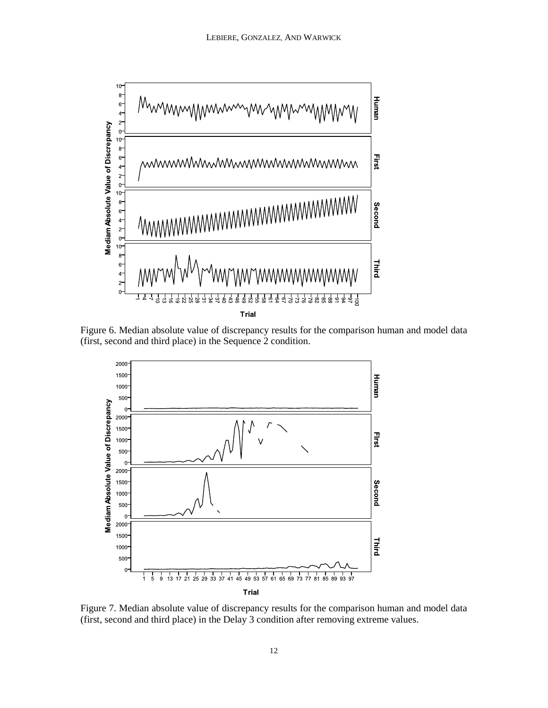

Figure 6. Median absolute value of discrepancy results for the comparison human and model data (first, second and third place) in the Sequence 2 condition.



Figure 7. Median absolute value of discrepancy results for the comparison human and model data (first, second and third place) in the Delay 3 condition after removing extreme values.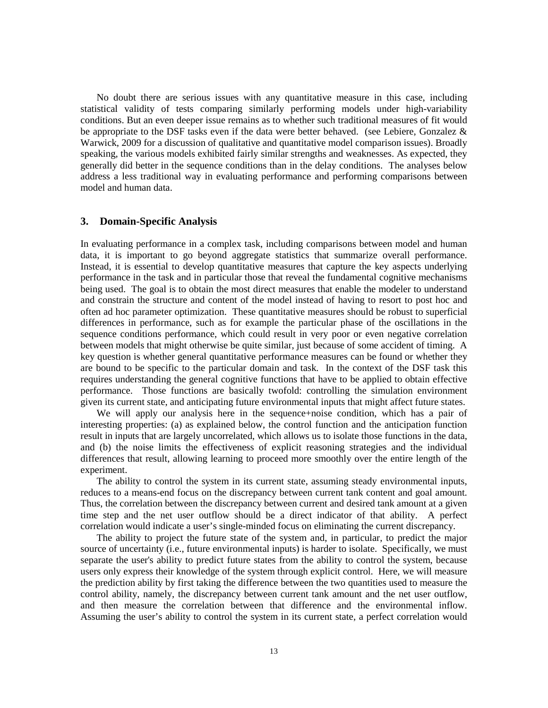No doubt there are serious issues with any quantitative measure in this case, including statistical validity of tests comparing similarly performing models under high-variability conditions. But an even deeper issue remains as to whether such traditional measures of fit would be appropriate to the DSF tasks even if the data were better behaved. (see Lebiere, Gonzalez  $\&$ Warwick, 2009 for a discussion of qualitative and quantitative model comparison issues). Broadly speaking, the various models exhibited fairly similar strengths and weaknesses. As expected, they generally did better in the sequence conditions than in the delay conditions. The analyses below address a less traditional way in evaluating performance and performing comparisons between model and human data.

# **3. Domain-Specific Analysis**

In evaluating performance in a complex task, including comparisons between model and human data, it is important to go beyond aggregate statistics that summarize overall performance. Instead, it is essential to develop quantitative measures that capture the key aspects underlying performance in the task and in particular those that reveal the fundamental cognitive mechanisms being used. The goal is to obtain the most direct measures that enable the modeler to understand and constrain the structure and content of the model instead of having to resort to post hoc and often ad hoc parameter optimization. These quantitative measures should be robust to superficial differences in performance, such as for example the particular phase of the oscillations in the sequence conditions performance, which could result in very poor or even negative correlation between models that might otherwise be quite similar, just because of some accident of timing. A key question is whether general quantitative performance measures can be found or whether they are bound to be specific to the particular domain and task. In the context of the DSF task this requires understanding the general cognitive functions that have to be applied to obtain effective performance. Those functions are basically twofold: controlling the simulation environment given its current state, and anticipating future environmental inputs that might affect future states.

We will apply our analysis here in the sequence+noise condition, which has a pair of interesting properties: (a) as explained below, the control function and the anticipation function result in inputs that are largely uncorrelated, which allows us to isolate those functions in the data, and (b) the noise limits the effectiveness of explicit reasoning strategies and the individual differences that result, allowing learning to proceed more smoothly over the entire length of the experiment.

The ability to control the system in its current state, assuming steady environmental inputs, reduces to a means-end focus on the discrepancy between current tank content and goal amount. Thus, the correlation between the discrepancy between current and desired tank amount at a given time step and the net user outflow should be a direct indicator of that ability. A perfect correlation would indicate a user's single-minded focus on eliminating the current discrepancy.

The ability to project the future state of the system and, in particular, to predict the major source of uncertainty (i.e., future environmental inputs) is harder to isolate. Specifically, we must separate the user's ability to predict future states from the ability to control the system, because users only express their knowledge of the system through explicit control. Here, we will measure the prediction ability by first taking the difference between the two quantities used to measure the control ability, namely, the discrepancy between current tank amount and the net user outflow, and then measure the correlation between that difference and the environmental inflow. Assuming the user's ability to control the system in its current state, a perfect correlation would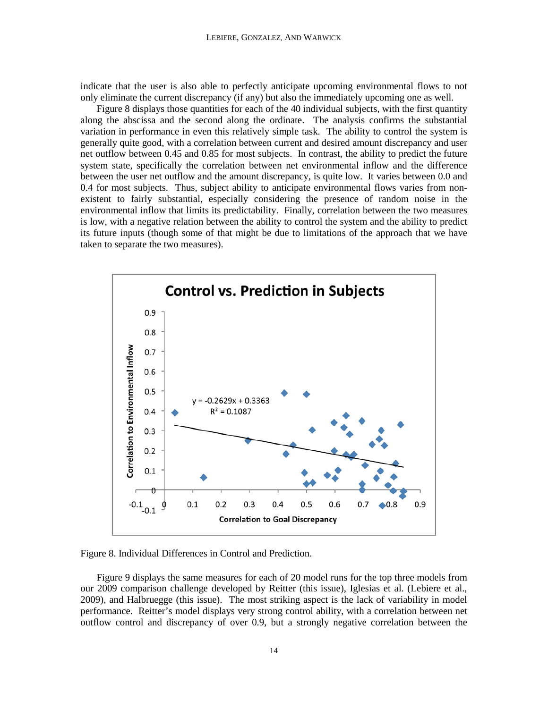indicate that the user is also able to perfectly anticipate upcoming environmental flows to not only eliminate the current discrepancy (if any) but also the immediately upcoming one as well.

Figure 8 displays those quantities for each of the 40 individual subjects, with the first quantity along the abscissa and the second along the ordinate. The analysis confirms the substantial variation in performance in even this relatively simple task. The ability to control the system is generally quite good, with a correlation between current and desired amount discrepancy and user net outflow between 0.45 and 0.85 for most subjects. In contrast, the ability to predict the future system state, specifically the correlation between net environmental inflow and the difference between the user net outflow and the amount discrepancy, is quite low. It varies between 0.0 and 0.4 for most subjects. Thus, subject ability to anticipate environmental flows varies from nonexistent to fairly substantial, especially considering the presence of random noise in the environmental inflow that limits its predictability. Finally, correlation between the two measures is low, with a negative relation between the ability to control the system and the ability to predict its future inputs (though some of that might be due to limitations of the approach that we have taken to separate the two measures).





Figure 9 displays the same measures for each of 20 model runs for the top three models from our 2009 comparison challenge developed by Reitter (this issue), Iglesias et al. (Lebiere et al., 2009), and Halbruegge (this issue). The most striking aspect is the lack of variability in model performance. Reitter's model displays very strong control ability, with a correlation between net outflow control and discrepancy of over 0.9, but a strongly negative correlation between the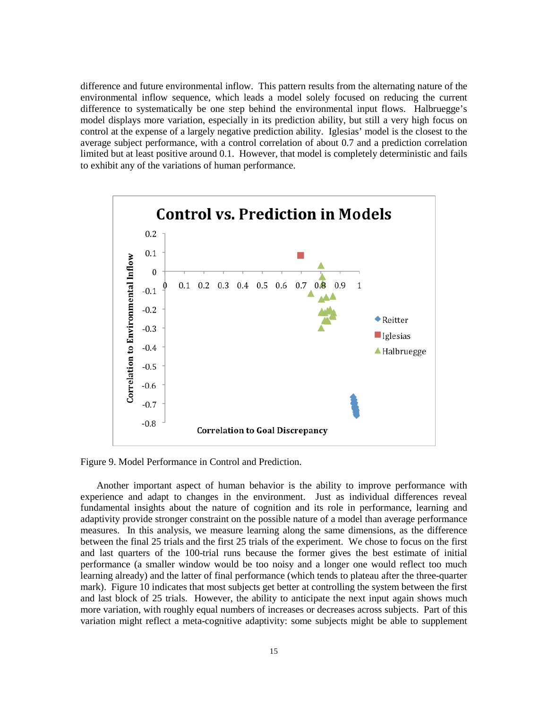difference and future environmental inflow. This pattern results from the alternating nature of the environmental inflow sequence, which leads a model solely focused on reducing the current difference to systematically be one step behind the environmental input flows. Halbruegge's model displays more variation, especially in its prediction ability, but still a very high focus on control at the expense of a largely negative prediction ability. Iglesias' model is the closest to the average subject performance, with a control correlation of about 0.7 and a prediction correlation limited but at least positive around 0.1. However, that model is completely deterministic and fails to exhibit any of the variations of human performance.



Figure 9. Model Performance in Control and Prediction.

Another important aspect of human behavior is the ability to improve performance with experience and adapt to changes in the environment. Just as individual differences reveal fundamental insights about the nature of cognition and its role in performance, learning and adaptivity provide stronger constraint on the possible nature of a model than average performance measures. In this analysis, we measure learning along the same dimensions, as the difference between the final 25 trials and the first 25 trials of the experiment. We chose to focus on the first and last quarters of the 100-trial runs because the former gives the best estimate of initial performance (a smaller window would be too noisy and a longer one would reflect too much learning already) and the latter of final performance (which tends to plateau after the three-quarter mark). Figure 10 indicates that most subjects get better at controlling the system between the first and last block of 25 trials. However, the ability to anticipate the next input again shows much more variation, with roughly equal numbers of increases or decreases across subjects. Part of this variation might reflect a meta-cognitive adaptivity: some subjects might be able to supplement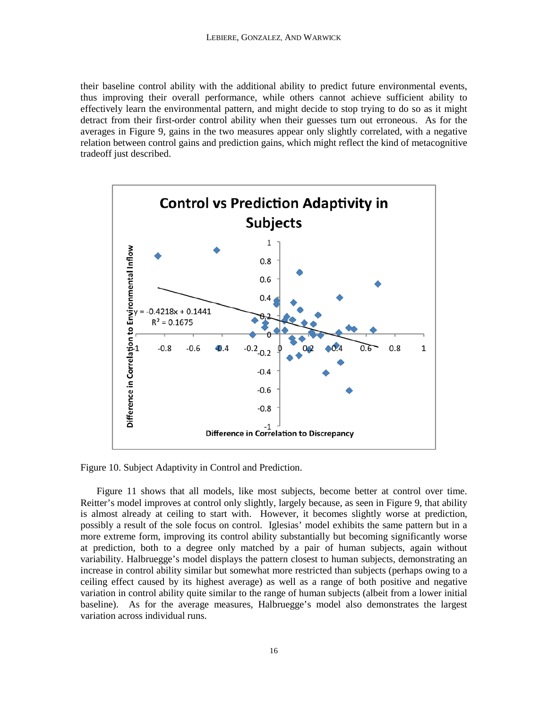their baseline control ability with the additional ability to predict future environmental events, thus improving their overall performance, while others cannot achieve sufficient ability to effectively learn the environmental pattern, and might decide to stop trying to do so as it might detract from their first-order control ability when their guesses turn out erroneous. As for the averages in Figure 9, gains in the two measures appear only slightly correlated, with a negative relation between control gains and prediction gains, which might reflect the kind of metacognitive tradeoff just described.



Figure 10. Subject Adaptivity in Control and Prediction.

Figure 11 shows that all models, like most subjects, become better at control over time. Reitter's model improves at control only slightly, largely because, as seen in Figure 9, that ability is almost already at ceiling to start with. However, it becomes slightly worse at prediction, possibly a result of the sole focus on control. Iglesias' model exhibits the same pattern but in a more extreme form, improving its control ability substantially but becoming significantly worse at prediction, both to a degree only matched by a pair of human subjects, again without variability. Halbruegge's model displays the pattern closest to human subjects, demonstrating an increase in control ability similar but somewhat more restricted than subjects (perhaps owing to a ceiling effect caused by its highest average) as well as a range of both positive and negative variation in control ability quite similar to the range of human subjects (albeit from a lower initial baseline). As for the average measures, Halbruegge's model also demonstrates the largest variation across individual runs.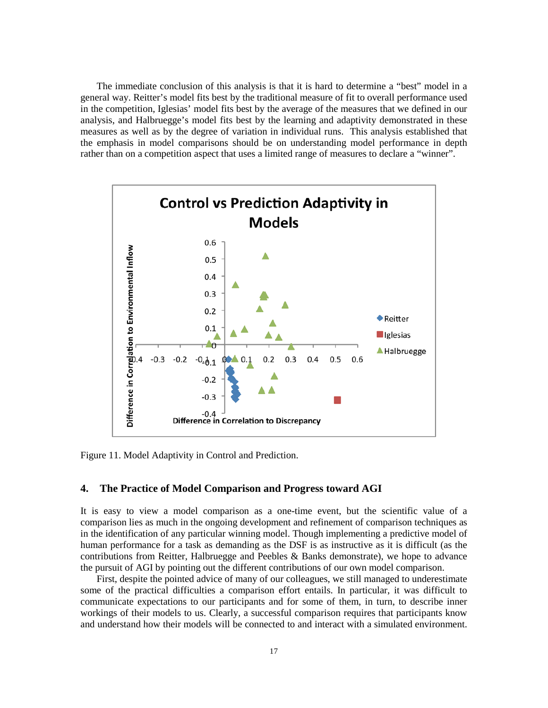The immediate conclusion of this analysis is that it is hard to determine a "best" model in a general way. Reitter's model fits best by the traditional measure of fit to overall performance used in the competition, Iglesias' model fits best by the average of the measures that we defined in our analysis, and Halbruegge's model fits best by the learning and adaptivity demonstrated in these measures as well as by the degree of variation in individual runs. This analysis established that the emphasis in model comparisons should be on understanding model performance in depth rather than on a competition aspect that uses a limited range of measures to declare a "winner".



Figure 11. Model Adaptivity in Control and Prediction.

# **4. The Practice of Model Comparison and Progress toward AGI**

It is easy to view a model comparison as a one-time event, but the scientific value of a comparison lies as much in the ongoing development and refinement of comparison techniques as in the identification of any particular winning model. Though implementing a predictive model of human performance for a task as demanding as the DSF is as instructive as it is difficult (as the contributions from Reitter, Halbruegge and Peebles & Banks demonstrate), we hope to advance the pursuit of AGI by pointing out the different contributions of our own model comparison.

First, despite the pointed advice of many of our colleagues, we still managed to underestimate some of the practical difficulties a comparison effort entails. In particular, it was difficult to communicate expectations to our participants and for some of them, in turn, to describe inner workings of their models to us. Clearly, a successful comparison requires that participants know and understand how their models will be connected to and interact with a simulated environment.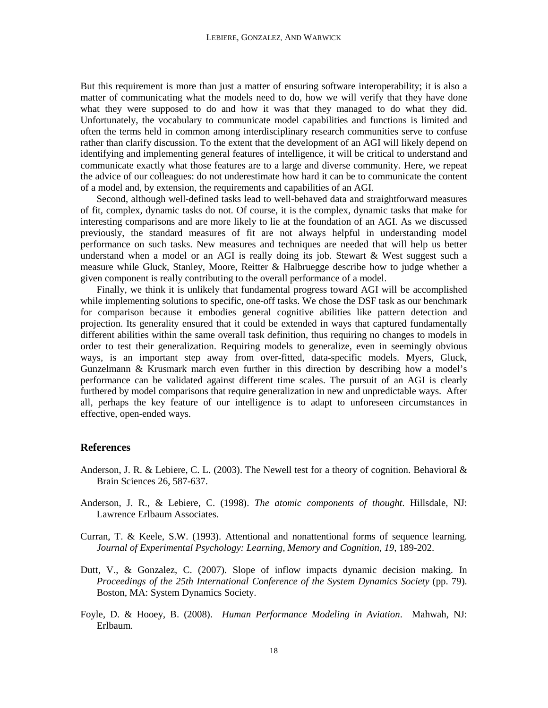But this requirement is more than just a matter of ensuring software interoperability; it is also a matter of communicating what the models need to do, how we will verify that they have done what they were supposed to do and how it was that they managed to do what they did. Unfortunately, the vocabulary to communicate model capabilities and functions is limited and often the terms held in common among interdisciplinary research communities serve to confuse rather than clarify discussion. To the extent that the development of an AGI will likely depend on identifying and implementing general features of intelligence, it will be critical to understand and communicate exactly what those features are to a large and diverse community. Here, we repeat the advice of our colleagues: do not underestimate how hard it can be to communicate the content of a model and, by extension, the requirements and capabilities of an AGI.

Second, although well-defined tasks lead to well-behaved data and straightforward measures of fit, complex, dynamic tasks do not. Of course, it is the complex, dynamic tasks that make for interesting comparisons and are more likely to lie at the foundation of an AGI. As we discussed previously, the standard measures of fit are not always helpful in understanding model performance on such tasks. New measures and techniques are needed that will help us better understand when a model or an AGI is really doing its job. Stewart & West suggest such a measure while Gluck, Stanley, Moore, Reitter & Halbruegge describe how to judge whether a given component is really contributing to the overall performance of a model.

Finally, we think it is unlikely that fundamental progress toward AGI will be accomplished while implementing solutions to specific, one-off tasks. We chose the DSF task as our benchmark for comparison because it embodies general cognitive abilities like pattern detection and projection. Its generality ensured that it could be extended in ways that captured fundamentally different abilities within the same overall task definition, thus requiring no changes to models in order to test their generalization. Requiring models to generalize, even in seemingly obvious ways, is an important step away from over-fitted, data-specific models. Myers, Gluck, Gunzelmann & Krusmark march even further in this direction by describing how a model's performance can be validated against different time scales. The pursuit of an AGI is clearly furthered by model comparisons that require generalization in new and unpredictable ways. After all, perhaps the key feature of our intelligence is to adapt to unforeseen circumstances in effective, open-ended ways.

## **References**

- Anderson, J. R. & Lebiere, C. L. (2003). The Newell test for a theory of cognition. Behavioral  $\&$ Brain Sciences 26, 587-637.
- Anderson, J. R., & Lebiere, C. (1998). *The atomic components of thought*. Hillsdale, NJ: Lawrence Erlbaum Associates.
- Curran, T. & Keele, S.W. (1993). Attentional and nonattentional forms of sequence learning. *Journal of Experimental Psychology: Learning, Memory and Cognition, 19*, 189-202.
- Dutt, V., & Gonzalez, C. (2007). Slope of inflow impacts dynamic decision making. In *Proceedings of the 25th International Conference of the System Dynamics Society* (pp. 79). Boston, MA: System Dynamics Society.
- Foyle, D. & Hooey, B. (2008). *Human Performance Modeling in Aviation*. Mahwah, NJ: Erlbaum.